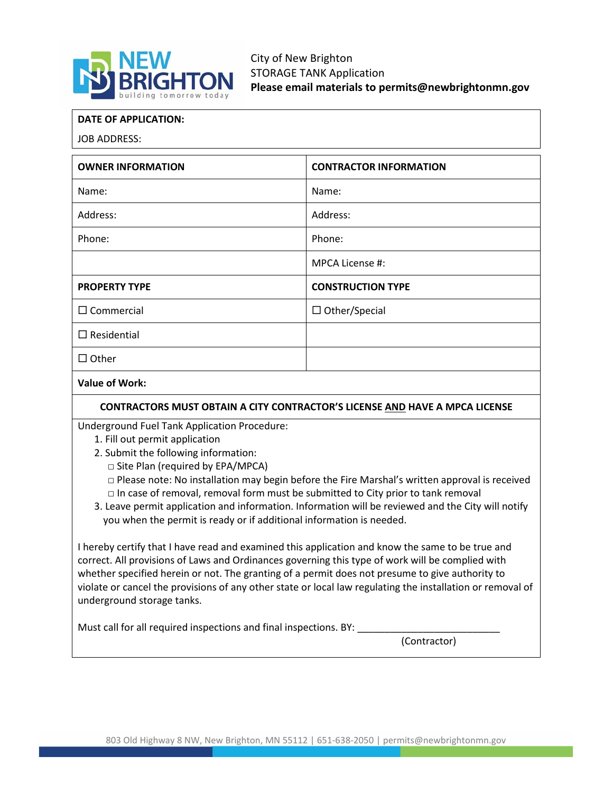

**DATE OF APPLICATION:**

JOB ADDRESS:

| <b>OWNER INFORMATION</b> | <b>CONTRACTOR INFORMATION</b> |
|--------------------------|-------------------------------|
| Name:                    | Name:                         |
| Address:                 | Address:                      |
| Phone:                   | Phone:                        |
|                          | MPCA License #:               |
| <b>PROPERTY TYPE</b>     | <b>CONSTRUCTION TYPE</b>      |
| $\Box$ Commercial        | $\Box$ Other/Special          |
| $\Box$ Residential       |                               |
| $\Box$ Other             |                               |
| <b>Value of Work:</b>    |                               |

**CONTRACTORS MUST OBTAIN A CITY CONTRACTOR'S LICENSE AND HAVE A MPCA LICENSE**

Underground Fuel Tank Application Procedure:

- 1. Fill out permit application
- 2. Submit the following information:

□ Site Plan (required by EPA/MPCA)

- $\Box$  Please note: No installation may begin before the Fire Marshal's written approval is received  $\Box$  In case of removal, removal form must be submitted to City prior to tank removal
- 3. Leave permit application and information. Information will be reviewed and the City will notify you when the permit is ready or if additional information is needed.

I hereby certify that I have read and examined this application and know the same to be true and correct. All provisions of Laws and Ordinances governing this type of work will be complied with whether specified herein or not. The granting of a permit does not presume to give authority to violate or cancel the provisions of any other state or local law regulating the installation or removal of underground storage tanks.

Must call for all required inspections and final inspections. BY:

(Contractor)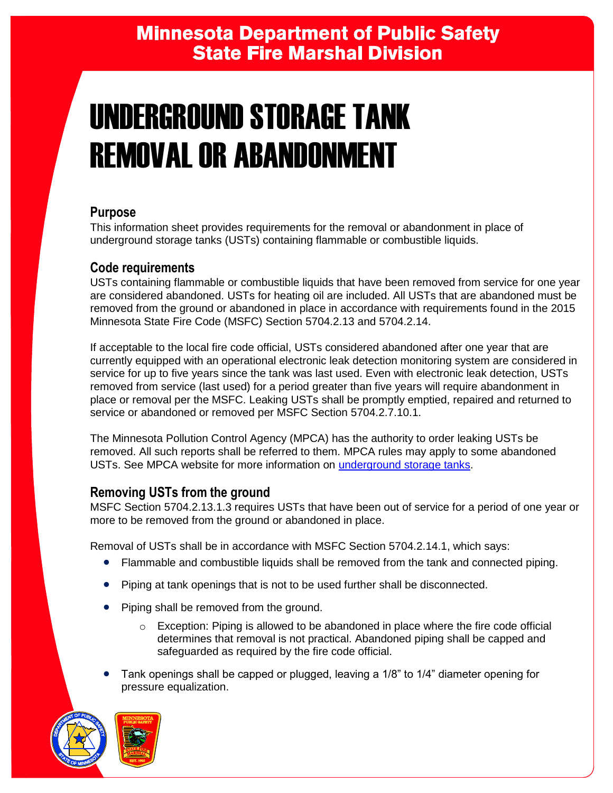# **Minnesota Department of Public Safety State Fire Marshal Division**

# UNDERGROUND STORAGE TANK REMOVAL OR ABANDONMENT

## **Purpose**

This information sheet provides requirements for the removal or abandonment in place of underground storage tanks (USTs) containing flammable or combustible liquids.

### **Code requirements**

USTs containing flammable or combustible liquids that have been removed from service for one year are considered abandoned. USTs for heating oil are included. All USTs that are abandoned must be removed from the ground or abandoned in place in accordance with requirements found in the 2015 Minnesota State Fire Code (MSFC) Section 5704.2.13 and 5704.2.14.

If acceptable to the local fire code official, USTs considered abandoned after one year that are currently equipped with an operational electronic leak detection monitoring system are considered in service for up to five years since the tank was last used. Even with electronic leak detection, USTs removed from service (last used) for a period greater than five years will require abandonment in place or removal per the MSFC. Leaking USTs shall be promptly emptied, repaired and returned to service or abandoned or removed per MSFC Section 5704.2.7.10.1.

The Minnesota Pollution Control Agency (MPCA) has the authority to order leaking USTs be removed. All such reports shall be referred to them. MPCA rules may apply to some abandoned USTs. See MPCA website for more information on [underground storage tanks.](https://www.pca.state.mn.us/waste/underground-storage-tank-systems)

## **Removing USTs from the ground**

MSFC Section 5704.2.13.1.3 requires USTs that have been out of service for a period of one year or more to be removed from the ground or abandoned in place.

Removal of USTs shall be in accordance with MSFC Section 5704.2.14.1, which says:

- Flammable and combustible liquids shall be removed from the tank and connected piping.
- Piping at tank openings that is not to be used further shall be disconnected.
- Piping shall be removed from the ground.
	- $\circ$  Exception: Piping is allowed to be abandoned in place where the fire code official determines that removal is not practical. Abandoned piping shall be capped and safeguarded as required by the fire code official.
- Tank openings shall be capped or plugged, leaving a 1/8" to 1/4" diameter opening for pressure equalization.